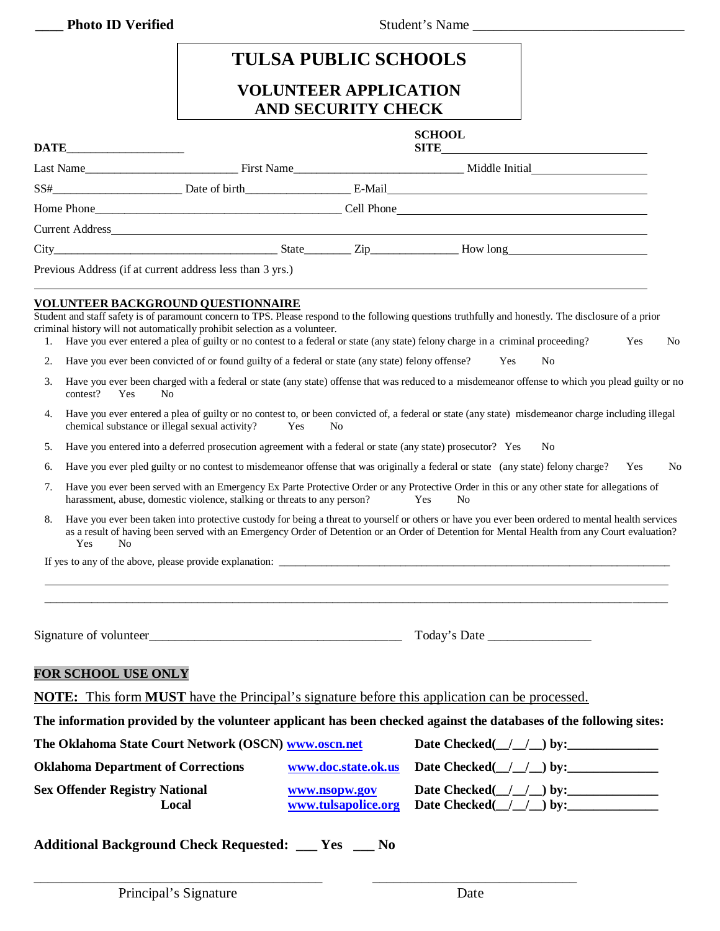**\_\_\_\_ Photo ID Verified** Student's Name \_\_\_\_\_\_\_\_\_\_\_\_\_\_\_\_\_\_\_\_\_\_\_\_\_\_\_\_\_\_

## **TULSA PUBLIC SCHOOLS VOLUNTEER APPLICATION AND SECURITY CHECK**

|                                                           | <b>SCHOOL</b> |  |
|-----------------------------------------------------------|---------------|--|
|                                                           |               |  |
|                                                           |               |  |
|                                                           |               |  |
|                                                           |               |  |
|                                                           |               |  |
| Previous Address (if at current address less than 3 yrs.) |               |  |

Student and staff safety is of paramount concern to TPS. Please respond to the following questions truthfully and honestly. The disclosure of a prior criminal history will not automatically prohibit selection as a volunteer.

- 1. Have you ever entered a plea of guilty or no contest to a federal or state (any state) felony charge in a criminal proceeding? Yes No
- 2. Have you ever been convicted of or found guilty of a federal or state (any state) felony offense? Yes No
- 3. Have you ever been charged with a federal or state (any state) offense that was reduced to a misdemeanor offense to which you plead guilty or no contest? Yes No
- 4. Have you ever entered a plea of guilty or no contest to, or been convicted of, a federal or state (any state) misdemeanor charge including illegal chemical substance or illegal sexual activity? Yes No
- 5. Have you entered into a deferred prosecution agreement with a federal or state (any state) prosecutor? Yes No
- 6. Have you ever pled guilty or no contest to misdemeanor offense that was originally a federal or state (any state) felony charge? Yes No
- 7. Have you ever been served with an Emergency Ex Parte Protective Order or any Protective Order in this or any other state for allegations of harassment, abuse, domestic violence, stalking or threats to any person? Yes No
- 8. Have you ever been taken into protective custody for being a threat to yourself or others or have you ever been ordered to mental health services as a result of having been served with an Emergency Order of Detention or an Order of Detention for Mental Health from any Court evaluation? Yes No

\_\_\_\_\_\_\_\_\_\_\_\_\_\_\_\_\_\_\_\_\_\_\_\_\_\_\_\_\_\_\_\_\_\_\_\_\_\_\_\_\_\_\_\_\_\_\_\_\_\_\_\_\_\_\_\_\_\_\_\_\_\_\_\_\_\_\_\_\_\_\_\_\_\_\_\_\_\_\_\_\_\_\_\_\_\_\_\_\_\_\_\_\_\_\_\_\_\_\_\_\_\_\_\_\_\_

If yes to any of the above, please provide explanation:

Signature of volunteer example and the set of volunteer and the set of  $\Gamma$ oday's Date  $\Gamma$ 

## **FOR SCHOOL USE ONLY**

**NOTE:** This form **MUST** have the Principal's signature before this application can be processed.

\_\_\_\_\_\_\_\_\_\_\_\_\_\_\_\_\_\_\_\_\_\_\_\_\_\_\_\_\_\_\_\_\_\_\_\_\_\_\_\_\_ \_\_\_\_\_\_\_\_\_\_\_\_\_\_\_\_\_\_\_\_\_\_\_\_\_\_\_\_\_

**The information provided by the volunteer applicant has been checked against the databases of the following sites:**

| <b>Oklahoma Department of Corrections</b><br>www.doc.state.ok.us<br><b>Date Checked</b> $( / / )$ by:                                              |  |
|----------------------------------------------------------------------------------------------------------------------------------------------------|--|
|                                                                                                                                                    |  |
| <b>Sex Offender Registry National</b><br>Date Checked $( / / )$ by:<br>www.nsopw.gov<br>www.tulsapolice.org<br>Date Checked $( / / )$ by:<br>Local |  |

**Additional Background Check Requested: \_\_\_ Yes \_\_\_ No**